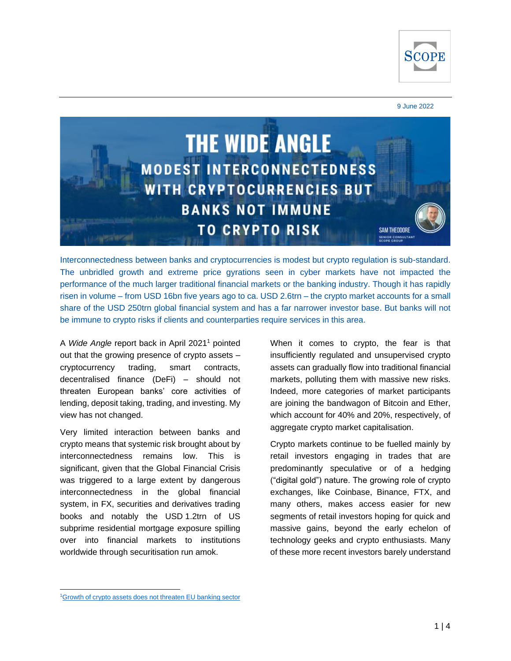

#### 9 June 2022



Interconnectedness between banks and cryptocurrencies is modest but crypto regulation is sub-standard. The unbridled growth and extreme price gyrations seen in cyber markets have not impacted the performance of the much larger traditional financial markets or the banking industry. Though it has rapidly risen in volume – from USD 16bn five years ago to ca. USD 2.6trn – the crypto market accounts for a small share of the USD 250trn global financial system and has a far narrower investor base. But banks will not be immune to crypto risks if clients and counterparties require services in this area.

A *Wide Angle* report back in April 2021<sup>1</sup> pointed out that the growing presence of crypto assets – cryptocurrency trading, smart contracts, decentralised finance (DeFi) – should not threaten European banks' core activities of lending, deposit taking, trading, and investing. My view has not changed.

Very limited interaction between banks and crypto means that systemic risk brought about by interconnectedness remains low. This is significant, given that the Global Financial Crisis was triggered to a large extent by dangerous interconnectedness in the global financial system, in FX, securities and derivatives trading books and notably the USD 1.2trn of US subprime residential mortgage exposure spilling over into financial markets to institutions worldwide through securitisation run amok.

When it comes to crypto, the fear is that insufficiently regulated and unsupervised crypto assets can gradually flow into traditional financial markets, polluting them with massive new risks. Indeed, more categories of market participants are joining the bandwagon of Bitcoin and Ether, which account for 40% and 20%, respectively, of aggregate crypto market capitalisation.

Crypto markets continue to be fuelled mainly by retail investors engaging in trades that are predominantly speculative or of a hedging ("digital gold") nature. The growing role of crypto exchanges, like Coinbase, Binance, FTX, and many others, makes access easier for new segments of retail investors hoping for quick and massive gains, beyond the early echelon of technology geeks and crypto enthusiasts. Many of these more recent investors barely understand

<sup>1</sup>[Growth of crypto assets does not threaten EU banking sector](https://www.scoperatings.com/ScopeRatingsApi/api/downloadstudy?id=e4f6deae-03e2-4778-9d1e-2708a32753b5)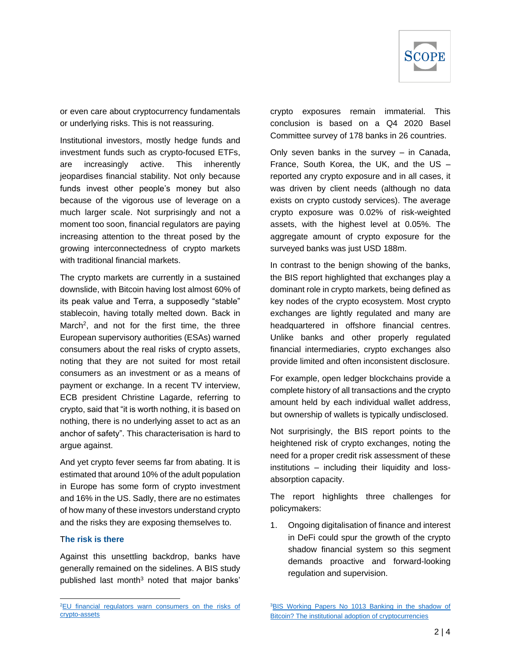

or even care about cryptocurrency fundamentals or underlying risks. This is not reassuring.

Institutional investors, mostly hedge funds and investment funds such as crypto-focused ETFs, are increasingly active. This inherently jeopardises financial stability. Not only because funds invest other people's money but also because of the vigorous use of leverage on a much larger scale. Not surprisingly and not a moment too soon, financial regulators are paying increasing attention to the threat posed by the growing interconnectedness of crypto markets with traditional financial markets.

The crypto markets are currently in a sustained downslide, with Bitcoin having lost almost 60% of its peak value and Terra, a supposedly "stable" stablecoin, having totally melted down. Back in March<sup>2</sup>, and not for the first time, the three European supervisory authorities (ESAs) warned consumers about the real risks of crypto assets, noting that they are not suited for most retail consumers as an investment or as a means of payment or exchange. In a recent TV interview, ECB president Christine Lagarde, referring to crypto, said that "it is worth nothing, it is based on nothing, there is no underlying asset to act as an anchor of safety". This characterisation is hard to argue against.

And yet crypto fever seems far from abating. It is estimated that around 10% of the adult population in Europe has some form of crypto investment and 16% in the US. Sadly, there are no estimates of how many of these investors understand crypto and the risks they are exposing themselves to.

### T**he risk is there**

Against this unsettling backdrop, banks have generally remained on the sidelines. A BIS study published last month $3$  noted that major banks' crypto exposures remain immaterial. This conclusion is based on a Q4 2020 Basel Committee survey of 178 banks in 26 countries.

Only seven banks in the survey – in Canada, France, South Korea, the UK, and the US – reported any crypto exposure and in all cases, it was driven by client needs (although no data exists on crypto custody services). The average crypto exposure was 0.02% of risk-weighted assets, with the highest level at 0.05%. The aggregate amount of crypto exposure for the surveyed banks was just USD 188m.

In contrast to the benign showing of the banks, the BIS report highlighted that exchanges play a dominant role in crypto markets, being defined as key nodes of the crypto ecosystem. Most crypto exchanges are lightly regulated and many are headquartered in offshore financial centres. Unlike banks and other properly regulated financial intermediaries, crypto exchanges also provide limited and often inconsistent disclosure.

For example, open ledger blockchains provide a complete history of all transactions and the crypto amount held by each individual wallet address, but ownership of wallets is typically undisclosed.

Not surprisingly, the BIS report points to the heightened risk of crypto exchanges, noting the need for a proper credit risk assessment of these institutions – including their liquidity and lossabsorption capacity.

The report highlights three challenges for policymakers:

1. Ongoing digitalisation of finance and interest in DeFi could spur the growth of the crypto shadow financial system so this segment demands proactive and forward-looking regulation and supervision.

<sup>&</sup>lt;sup>2</sup>EU financial regulators warn consumers on the risks of [crypto-assets](https://www.eba.europa.eu/sites/default/documents/files/document_library/Publications/Warnings/2022/1028326/ESAs%20warning%20to%20consumers%20on%20the%20risks%20of%20crypto-assets.pdf)

<sup>&</sup>lt;sup>3</sup>BIS Working Papers No 1013 Banking in the shadow of [Bitcoin? The institutional adoption of cryptocurrencies](https://www.bis.org/publ/work1013.pdf)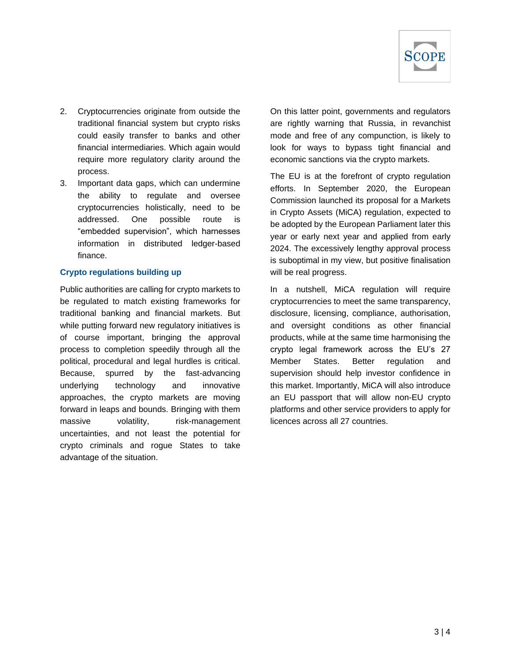

- 2. Cryptocurrencies originate from outside the traditional financial system but crypto risks could easily transfer to banks and other financial intermediaries. Which again would require more regulatory clarity around the process.
- 3. Important data gaps, which can undermine the ability to regulate and oversee cryptocurrencies holistically, need to be addressed. One possible route is "embedded supervision", which harnesses information in distributed ledger-based finance.

### **Crypto regulations building up**

Public authorities are calling for crypto markets to be regulated to match existing frameworks for traditional banking and financial markets. But while putting forward new regulatory initiatives is of course important, bringing the approval process to completion speedily through all the political, procedural and legal hurdles is critical. Because, spurred by the fast-advancing underlying technology and innovative approaches, the crypto markets are moving forward in leaps and bounds. Bringing with them massive volatility, risk-management uncertainties, and not least the potential for crypto criminals and rogue States to take advantage of the situation.

On this latter point, governments and regulators are rightly warning that Russia, in revanchist mode and free of any compunction, is likely to look for ways to bypass tight financial and economic sanctions via the crypto markets.

The EU is at the forefront of crypto regulation efforts. In September 2020, the European Commission launched its proposal for a Markets in Crypto Assets (MiCA) regulation, expected to be adopted by the European Parliament later this year or early next year and applied from early 2024. The excessively lengthy approval process is suboptimal in my view, but positive finalisation will be real progress.

In a nutshell, MiCA regulation will require cryptocurrencies to meet the same transparency, disclosure, licensing, compliance, authorisation, and oversight conditions as other financial products, while at the same time harmonising the crypto legal framework across the EU's 27 Member States. Better regulation and supervision should help investor confidence in this market. Importantly, MiCA will also introduce an EU passport that will allow non-EU crypto platforms and other service providers to apply for licences across all 27 countries.